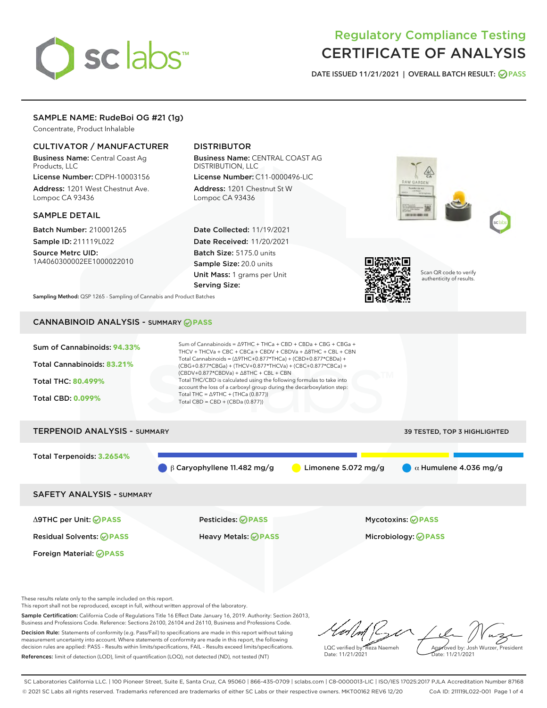# sclabs<sup>\*</sup>

# Regulatory Compliance Testing CERTIFICATE OF ANALYSIS

DATE ISSUED 11/21/2021 | OVERALL BATCH RESULT: @ PASS

## SAMPLE NAME: RudeBoi OG #21 (1g)

Concentrate, Product Inhalable

## CULTIVATOR / MANUFACTURER

Business Name: Central Coast Ag Products, LLC

License Number: CDPH-10003156 Address: 1201 West Chestnut Ave. Lompoc CA 93436

#### SAMPLE DETAIL

Batch Number: 210001265 Sample ID: 211119L022

Source Metrc UID: 1A4060300002EE1000022010

# DISTRIBUTOR

Business Name: CENTRAL COAST AG DISTRIBUTION, LLC License Number: C11-0000496-LIC

Address: 1201 Chestnut St W Lompoc CA 93436

Date Collected: 11/19/2021 Date Received: 11/20/2021 Batch Size: 5175.0 units Sample Size: 20.0 units Unit Mass: 1 grams per Unit Serving Size:







Scan QR code to verify authenticity of results.

Sampling Method: QSP 1265 - Sampling of Cannabis and Product Batches

# CANNABINOID ANALYSIS - SUMMARY **PASS**

| Sum of Cannabinoids: 94.33% | Sum of Cannabinoids = $\triangle$ 9THC + THCa + CBD + CBDa + CBG + CBGa +<br>THCV + THCVa + CBC + CBCa + CBDV + CBDVa + $\triangle$ 8THC + CBL + CBN                                     |
|-----------------------------|------------------------------------------------------------------------------------------------------------------------------------------------------------------------------------------|
| Total Cannabinoids: 83.21%  | Total Cannabinoids = $(\Delta 9THC + 0.877*THCa) + (CBD + 0.877*CBDa) +$<br>(CBG+0.877*CBGa) + (THCV+0.877*THCVa) + (CBC+0.877*CBCa) +<br>$(CBDV+0.877*CBDVa) + \Delta 8THC + CBL + CBN$ |
| <b>Total THC: 80.499%</b>   | Total THC/CBD is calculated using the following formulas to take into<br>account the loss of a carboxyl group during the decarboxylation step:                                           |
| <b>Total CBD: 0.099%</b>    | Total THC = $\triangle$ 9THC + (THCa (0.877))<br>Total CBD = $CBD + (CBDa (0.877))$                                                                                                      |
|                             |                                                                                                                                                                                          |

# TERPENOID ANALYSIS - SUMMARY 39 TESTED, TOP 3 HIGHLIGHTED Total Terpenoids: **3.2654%** β Caryophyllene 11.482 mg/g **b** Limonene 5.072 mg/g  $\alpha$  Humulene 4.036 mg/g SAFETY ANALYSIS - SUMMARY

Δ9THC per Unit: **PASS** Pesticides: **PASS** Mycotoxins: **PASS**

Foreign Material: **PASS**

Residual Solvents: **PASS** Heavy Metals: **PASS** Microbiology: **PASS**

These results relate only to the sample included on this report.

This report shall not be reproduced, except in full, without written approval of the laboratory.

Sample Certification: California Code of Regulations Title 16 Effect Date January 16, 2019. Authority: Section 26013, Business and Professions Code. Reference: Sections 26100, 26104 and 26110, Business and Professions Code. Decision Rule: Statements of conformity (e.g. Pass/Fail) to specifications are made in this report without taking measurement uncertainty into account. Where statements of conformity are made in this report, the following

decision rules are applied: PASS – Results within limits/specifications, FAIL – Results exceed limits/specifications. References: limit of detection (LOD), limit of quantification (LOQ), not detected (ND), not tested (NT)

LQC verified by: Reza Naemeh Date: 11/21/2021 Approved by: Josh Wurzer, President ate: 11/21/2021

SC Laboratories California LLC. | 100 Pioneer Street, Suite E, Santa Cruz, CA 95060 | 866-435-0709 | sclabs.com | C8-0000013-LIC | ISO/IES 17025:2017 PJLA Accreditation Number 87168 © 2021 SC Labs all rights reserved. Trademarks referenced are trademarks of either SC Labs or their respective owners. MKT00162 REV6 12/20 CoA ID: 211119L022-001 Page 1 of 4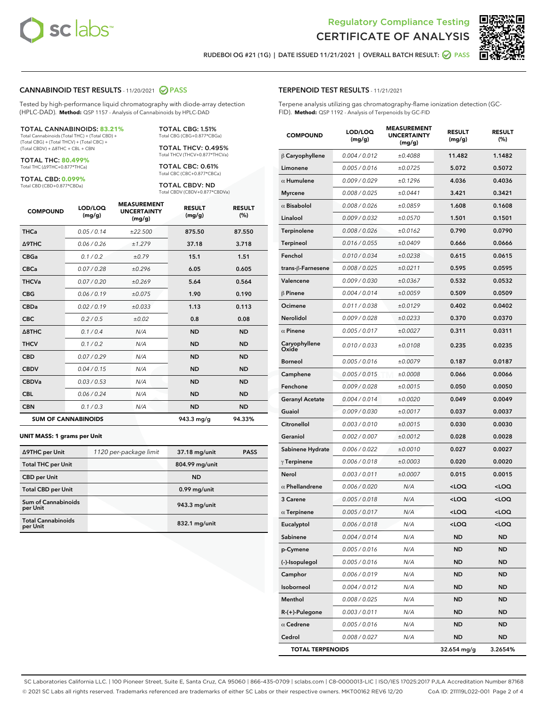



RUDEBOI OG #21 (1G) | DATE ISSUED 11/21/2021 | OVERALL BATCH RESULT: **● PASS** 

## CANNABINOID TEST RESULTS - 11/20/2021 @ PASS

Tested by high-performance liquid chromatography with diode-array detection (HPLC-DAD). **Method:** QSP 1157 - Analysis of Cannabinoids by HPLC-DAD

#### TOTAL CANNABINOIDS: **83.21%**

Total Cannabinoids (Total THC) + (Total CBD) + (Total CBG) + (Total THCV) + (Total CBC) + (Total CBDV) + ∆8THC + CBL + CBN

TOTAL THC: **80.499%** Total THC (∆9THC+0.877\*THCa)

TOTAL CBD: **0.099%**

Total CBD (CBD+0.877\*CBDa)

TOTAL CBG: 1.51% Total CBG (CBG+0.877\*CBGa)

TOTAL THCV: 0.495% Total THCV (THCV+0.877\*THCVa)

TOTAL CBC: 0.61% Total CBC (CBC+0.877\*CBCa)

TOTAL CBDV: ND Total CBDV (CBDV+0.877\*CBDVa)

| <b>COMPOUND</b>            | LOD/LOQ<br>(mg/g) | <b>MEASUREMENT</b><br><b>UNCERTAINTY</b><br>(mg/g) | <b>RESULT</b><br>(mg/g) | <b>RESULT</b><br>(%) |
|----------------------------|-------------------|----------------------------------------------------|-------------------------|----------------------|
| <b>THCa</b>                | 0.05/0.14         | ±22.500                                            | 875.50                  | 87.550               |
| <b>A9THC</b>               | 0.06 / 0.26       | ±1.279                                             | 37.18                   | 3.718                |
| <b>CBGa</b>                | 0.1 / 0.2         | ±0.79                                              | 15.1                    | 1.51                 |
| <b>CBCa</b>                | 0.07/0.28         | ±0.296                                             | 6.05                    | 0.605                |
| <b>THCVa</b>               | 0.07 / 0.20       | ±0.269                                             | 5.64                    | 0.564                |
| <b>CBG</b>                 | 0.06/0.19         | ±0.075                                             | 1.90                    | 0.190                |
| <b>CBDa</b>                | 0.02/0.19         | ±0.033                                             | 1.13                    | 0.113                |
| <b>CBC</b>                 | 0.2 / 0.5         | ±0.02                                              | 0.8                     | 0.08                 |
| $\triangle$ 8THC           | 0.1/0.4           | N/A                                                | <b>ND</b>               | <b>ND</b>            |
| <b>THCV</b>                | 0.1 / 0.2         | N/A                                                | <b>ND</b>               | <b>ND</b>            |
| <b>CBD</b>                 | 0.07/0.29         | N/A                                                | <b>ND</b>               | <b>ND</b>            |
| <b>CBDV</b>                | 0.04 / 0.15       | N/A                                                | <b>ND</b>               | <b>ND</b>            |
| <b>CBDVa</b>               | 0.03 / 0.53       | N/A                                                | <b>ND</b>               | <b>ND</b>            |
| <b>CBL</b>                 | 0.06 / 0.24       | N/A                                                | <b>ND</b>               | <b>ND</b>            |
| <b>CBN</b>                 | 0.1/0.3           | N/A                                                | <b>ND</b>               | <b>ND</b>            |
| <b>SUM OF CANNABINOIDS</b> |                   |                                                    | 943.3 mg/g              | 94.33%               |

#### **UNIT MASS: 1 grams per Unit**

| ∆9THC per Unit                        | 1120 per-package limit | 37.18 mg/unit  | <b>PASS</b> |
|---------------------------------------|------------------------|----------------|-------------|
| <b>Total THC per Unit</b>             |                        | 804.99 mg/unit |             |
| <b>CBD</b> per Unit                   |                        | <b>ND</b>      |             |
| <b>Total CBD per Unit</b>             |                        | 0.99 mg/unit   |             |
| Sum of Cannabinoids<br>per Unit       |                        | 943.3 mg/unit  |             |
| <b>Total Cannabinoids</b><br>per Unit |                        | 832.1 mg/unit  |             |

## TERPENOID TEST RESULTS - 11/21/2021

Terpene analysis utilizing gas chromatography-flame ionization detection (GC-FID). **Method:** QSP 1192 - Analysis of Terpenoids by GC-FID

| <b>COMPOUND</b>         | LOD/LOQ<br>(mg/g) | <b>MEASUREMENT</b><br><b>UNCERTAINTY</b><br>(mg/g) | <b>RESULT</b><br>(mg/g)                         | <b>RESULT</b><br>(%) |
|-------------------------|-------------------|----------------------------------------------------|-------------------------------------------------|----------------------|
| $\beta$ Caryophyllene   | 0.004 / 0.012     | ±0.4088                                            | 11.482                                          | 1.1482               |
| Limonene                | 0.005 / 0.016     | ±0.0725                                            | 5.072                                           | 0.5072               |
| $\alpha$ Humulene       | 0.009 / 0.029     | ±0.1296                                            | 4.036                                           | 0.4036               |
| <b>Myrcene</b>          | 0.008 / 0.025     | ±0.0441                                            | 3.421                                           | 0.3421               |
| $\alpha$ Bisabolol      | 0.008 / 0.026     | ±0.0859                                            | 1.608                                           | 0.1608               |
| Linalool                | 0.009 / 0.032     | ±0.0570                                            | 1.501                                           | 0.1501               |
| Terpinolene             | 0.008 / 0.026     | ±0.0162                                            | 0.790                                           | 0.0790               |
| Terpineol               | 0.016 / 0.055     | ±0.0409                                            | 0.666                                           | 0.0666               |
| Fenchol                 | 0.010 / 0.034     | ±0.0238                                            | 0.615                                           | 0.0615               |
| trans-ß-Farnesene       | 0.008 / 0.025     | ±0.0211                                            | 0.595                                           | 0.0595               |
| Valencene               | 0.009 / 0.030     | ±0.0367                                            | 0.532                                           | 0.0532               |
| $\beta$ Pinene          | 0.004 / 0.014     | ±0.0059                                            | 0.509                                           | 0.0509               |
| Ocimene                 | 0.011 / 0.038     | ±0.0129                                            | 0.402                                           | 0.0402               |
| Nerolidol               | 0.009 / 0.028     | ±0.0233                                            | 0.370                                           | 0.0370               |
| $\alpha$ Pinene         | 0.005 / 0.017     | ±0.0027                                            | 0.311                                           | 0.0311               |
| Caryophyllene<br>Oxide  | 0.010 / 0.033     | ±0.0108                                            | 0.235                                           | 0.0235               |
| <b>Borneol</b>          | 0.005 / 0.016     | ±0.0079                                            | 0.187                                           | 0.0187               |
| Camphene                | 0.005 / 0.015     | ±0.0008                                            | 0.066                                           | 0.0066               |
| Fenchone                | 0.009 / 0.028     | ±0.0015                                            | 0.050                                           | 0.0050               |
| <b>Geranyl Acetate</b>  | 0.004 / 0.014     | ±0.0020                                            | 0.049                                           | 0.0049               |
| Guaiol                  | 0.009 / 0.030     | ±0.0017                                            | 0.037                                           | 0.0037               |
| Citronellol             | 0.003 / 0.010     | ±0.0015                                            | 0.030                                           | 0.0030               |
| Geraniol                | 0.002 / 0.007     | ±0.0012                                            | 0.028                                           | 0.0028               |
| Sabinene Hydrate        | 0.006 / 0.022     | ±0.0010                                            | 0.027                                           | 0.0027               |
| $\gamma$ Terpinene      | 0.006 / 0.018     | ±0.0003                                            | 0.020                                           | 0.0020               |
| Nerol                   | 0.003 / 0.011     | ±0.0007                                            | 0.015                                           | 0.0015               |
| $\alpha$ Phellandrene   | 0.006 / 0.020     | N/A                                                | <loq< th=""><th><loq< th=""></loq<></th></loq<> | <loq< th=""></loq<>  |
| 3 Carene                | 0.005 / 0.018     | N/A                                                | <loq< th=""><th><loq< th=""></loq<></th></loq<> | <loq< th=""></loq<>  |
| $\alpha$ Terpinene      | 0.005 / 0.017     | N/A                                                | <loq< th=""><th><loq< th=""></loq<></th></loq<> | <loq< th=""></loq<>  |
| Eucalyptol              | 0.006 / 0.018     | N/A                                                | <loq< th=""><th><loq< th=""></loq<></th></loq<> | <loq< th=""></loq<>  |
| Sabinene                | 0.004 / 0.014     | N/A                                                | ND                                              | ND                   |
| p-Cymene                | 0.005 / 0.016     | N/A                                                | <b>ND</b>                                       | <b>ND</b>            |
| (-)-Isopulegol          | 0.005 / 0.016     | N/A                                                | <b>ND</b>                                       | ND                   |
| Camphor                 | 0.006 / 0.019     | N/A                                                | ND                                              | <b>ND</b>            |
| Isoborneol              | 0.004 / 0.012     | N/A                                                | ND                                              | ND                   |
| Menthol                 | 0.008 / 0.025     | N/A                                                | <b>ND</b>                                       | ND                   |
| R-(+)-Pulegone          | 0.003 / 0.011     | N/A                                                | ND                                              | <b>ND</b>            |
| $\alpha$ Cedrene        | 0.005 / 0.016     | N/A                                                | ND                                              | ND                   |
| Cedrol                  | 0.008 / 0.027     | N/A                                                | ND                                              | ND                   |
| <b>TOTAL TERPENOIDS</b> |                   |                                                    | 32.654 mg/g                                     | 3.2654%              |

SC Laboratories California LLC. | 100 Pioneer Street, Suite E, Santa Cruz, CA 95060 | 866-435-0709 | sclabs.com | C8-0000013-LIC | ISO/IES 17025:2017 PJLA Accreditation Number 87168 © 2021 SC Labs all rights reserved. Trademarks referenced are trademarks of either SC Labs or their respective owners. MKT00162 REV6 12/20 CoA ID: 211119L022-001 Page 2 of 4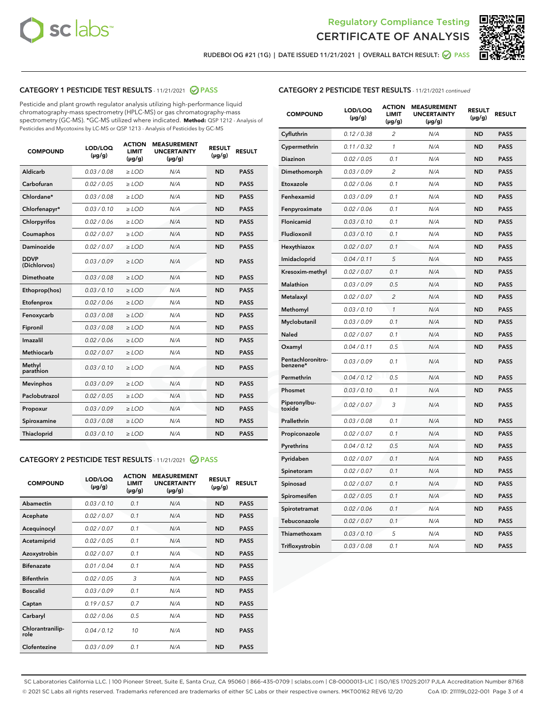



RUDEBOI OG #21 (1G) | DATE ISSUED 11/21/2021 | OVERALL BATCH RESULT: @ PASS

## CATEGORY 1 PESTICIDE TEST RESULTS - 11/21/2021 2 PASS

Pesticide and plant growth regulator analysis utilizing high-performance liquid chromatography-mass spectrometry (HPLC-MS) or gas chromatography-mass spectrometry (GC-MS). \*GC-MS utilized where indicated. **Method:** QSP 1212 - Analysis of Pesticides and Mycotoxins by LC-MS or QSP 1213 - Analysis of Pesticides by GC-MS

| <b>COMPOUND</b>             | LOD/LOQ<br>$(\mu g/g)$ | <b>ACTION</b><br><b>LIMIT</b><br>$(\mu g/g)$ | <b>MEASUREMENT</b><br><b>UNCERTAINTY</b><br>$(\mu g/g)$ | <b>RESULT</b><br>$(\mu g/g)$ | <b>RESULT</b> |
|-----------------------------|------------------------|----------------------------------------------|---------------------------------------------------------|------------------------------|---------------|
| Aldicarb                    | 0.03 / 0.08            | $\geq$ LOD                                   | N/A                                                     | <b>ND</b>                    | <b>PASS</b>   |
| Carbofuran                  | 0.02/0.05              | $>$ LOD                                      | N/A                                                     | <b>ND</b>                    | <b>PASS</b>   |
| Chlordane*                  | 0.03 / 0.08            | $\ge$ LOD                                    | N/A                                                     | <b>ND</b>                    | <b>PASS</b>   |
| Chlorfenapyr*               | 0.03/0.10              | $>$ LOD                                      | N/A                                                     | <b>ND</b>                    | <b>PASS</b>   |
| Chlorpyrifos                | 0.02 / 0.06            | $\ge$ LOD                                    | N/A                                                     | <b>ND</b>                    | <b>PASS</b>   |
| Coumaphos                   | 0.02 / 0.07            | $\ge$ LOD                                    | N/A                                                     | <b>ND</b>                    | <b>PASS</b>   |
| Daminozide                  | 0.02 / 0.07            | $\ge$ LOD                                    | N/A                                                     | <b>ND</b>                    | <b>PASS</b>   |
| <b>DDVP</b><br>(Dichlorvos) | 0.03/0.09              | $\ge$ LOD                                    | N/A                                                     | <b>ND</b>                    | <b>PASS</b>   |
| Dimethoate                  | 0.03/0.08              | $>$ LOD                                      | N/A                                                     | <b>ND</b>                    | <b>PASS</b>   |
| Ethoprop(hos)               | 0.03/0.10              | $\ge$ LOD                                    | N/A                                                     | <b>ND</b>                    | <b>PASS</b>   |
| Etofenprox                  | 0.02 / 0.06            | $\ge$ LOD                                    | N/A                                                     | <b>ND</b>                    | <b>PASS</b>   |
| Fenoxycarb                  | 0.03 / 0.08            | $\ge$ LOD                                    | N/A                                                     | <b>ND</b>                    | <b>PASS</b>   |
| Fipronil                    | 0.03/0.08              | $>$ LOD                                      | N/A                                                     | <b>ND</b>                    | <b>PASS</b>   |
| Imazalil                    | 0.02 / 0.06            | $\ge$ LOD                                    | N/A                                                     | <b>ND</b>                    | <b>PASS</b>   |
| <b>Methiocarb</b>           | 0.02 / 0.07            | $\ge$ LOD                                    | N/A                                                     | <b>ND</b>                    | <b>PASS</b>   |
| Methyl<br>parathion         | 0.03/0.10              | $\ge$ LOD                                    | N/A                                                     | <b>ND</b>                    | <b>PASS</b>   |
| <b>Mevinphos</b>            | 0.03/0.09              | $>$ LOD                                      | N/A                                                     | <b>ND</b>                    | <b>PASS</b>   |
| Paclobutrazol               | 0.02 / 0.05            | $\ge$ LOD                                    | N/A                                                     | <b>ND</b>                    | <b>PASS</b>   |
| Propoxur                    | 0.03/0.09              | $\ge$ LOD                                    | N/A                                                     | <b>ND</b>                    | <b>PASS</b>   |
| Spiroxamine                 | 0.03 / 0.08            | $\ge$ LOD                                    | N/A                                                     | <b>ND</b>                    | <b>PASS</b>   |
| Thiacloprid                 | 0.03/0.10              | $\ge$ LOD                                    | N/A                                                     | <b>ND</b>                    | <b>PASS</b>   |

#### CATEGORY 2 PESTICIDE TEST RESULTS - 11/21/2021 @ PASS

| <b>COMPOUND</b>          | LOD/LOQ<br>$(\mu g/g)$ | <b>ACTION</b><br><b>LIMIT</b><br>$(\mu g/g)$ | <b>MEASUREMENT</b><br><b>UNCERTAINTY</b><br>$(\mu g/g)$ | <b>RESULT</b><br>$(\mu g/g)$ | <b>RESULT</b> |
|--------------------------|------------------------|----------------------------------------------|---------------------------------------------------------|------------------------------|---------------|
| Abamectin                | 0.03/0.10              | 0.1                                          | N/A                                                     | <b>ND</b>                    | <b>PASS</b>   |
| Acephate                 | 0.02/0.07              | 0.1                                          | N/A                                                     | <b>ND</b>                    | <b>PASS</b>   |
| Acequinocyl              | 0.02/0.07              | 0.1                                          | N/A                                                     | <b>ND</b>                    | <b>PASS</b>   |
| Acetamiprid              | 0.02/0.05              | 0.1                                          | N/A                                                     | <b>ND</b>                    | <b>PASS</b>   |
| Azoxystrobin             | 0.02/0.07              | 0.1                                          | N/A                                                     | <b>ND</b>                    | <b>PASS</b>   |
| <b>Bifenazate</b>        | 0.01/0.04              | 0.1                                          | N/A                                                     | <b>ND</b>                    | <b>PASS</b>   |
| <b>Bifenthrin</b>        | 0.02 / 0.05            | 3                                            | N/A                                                     | <b>ND</b>                    | <b>PASS</b>   |
| <b>Boscalid</b>          | 0.03/0.09              | 0.1                                          | N/A                                                     | <b>ND</b>                    | <b>PASS</b>   |
| Captan                   | 0.19/0.57              | 0.7                                          | N/A                                                     | <b>ND</b>                    | <b>PASS</b>   |
| Carbaryl                 | 0.02/0.06              | 0.5                                          | N/A                                                     | <b>ND</b>                    | <b>PASS</b>   |
| Chlorantranilip-<br>role | 0.04/0.12              | 10                                           | N/A                                                     | <b>ND</b>                    | <b>PASS</b>   |
| Clofentezine             | 0.03/0.09              | 0.1                                          | N/A                                                     | <b>ND</b>                    | <b>PASS</b>   |

#### CATEGORY 2 PESTICIDE TEST RESULTS - 11/21/2021 continued

| <b>COMPOUND</b>               | LOD/LOQ<br>(µg/g) | <b>ACTION</b><br>LIMIT<br>$(\mu g/g)$ | <b>MEASUREMENT</b><br><b>UNCERTAINTY</b><br>$(\mu g/g)$ | <b>RESULT</b><br>(µg/g) | <b>RESULT</b> |
|-------------------------------|-------------------|---------------------------------------|---------------------------------------------------------|-------------------------|---------------|
| Cyfluthrin                    | 0.12 / 0.38       | $\overline{c}$                        | N/A                                                     | ND                      | <b>PASS</b>   |
| Cypermethrin                  | 0.11 / 0.32       | $\mathcal{I}$                         | N/A                                                     | ND                      | <b>PASS</b>   |
| <b>Diazinon</b>               | 0.02 / 0.05       | 0.1                                   | N/A                                                     | <b>ND</b>               | <b>PASS</b>   |
| Dimethomorph                  | 0.03 / 0.09       | 2                                     | N/A                                                     | ND                      | <b>PASS</b>   |
| Etoxazole                     | 0.02 / 0.06       | 0.1                                   | N/A                                                     | ND                      | <b>PASS</b>   |
| Fenhexamid                    | 0.03 / 0.09       | 0.1                                   | N/A                                                     | <b>ND</b>               | <b>PASS</b>   |
| Fenpyroximate                 | 0.02 / 0.06       | 0.1                                   | N/A                                                     | <b>ND</b>               | <b>PASS</b>   |
| Flonicamid                    | 0.03 / 0.10       | 0.1                                   | N/A                                                     | ND                      | <b>PASS</b>   |
| Fludioxonil                   | 0.03 / 0.10       | 0.1                                   | N/A                                                     | ND                      | <b>PASS</b>   |
| Hexythiazox                   | 0.02 / 0.07       | 0.1                                   | N/A                                                     | ND                      | <b>PASS</b>   |
| Imidacloprid                  | 0.04 / 0.11       | 5                                     | N/A                                                     | ND                      | <b>PASS</b>   |
| Kresoxim-methyl               | 0.02 / 0.07       | 0.1                                   | N/A                                                     | ND                      | <b>PASS</b>   |
| <b>Malathion</b>              | 0.03 / 0.09       | 0.5                                   | N/A                                                     | <b>ND</b>               | <b>PASS</b>   |
| Metalaxyl                     | 0.02 / 0.07       | $\overline{c}$                        | N/A                                                     | ND                      | <b>PASS</b>   |
| Methomyl                      | 0.03 / 0.10       | 1                                     | N/A                                                     | <b>ND</b>               | <b>PASS</b>   |
| Myclobutanil                  | 0.03 / 0.09       | 0.1                                   | N/A                                                     | ND                      | <b>PASS</b>   |
| Naled                         | 0.02 / 0.07       | 0.1                                   | N/A                                                     | ND                      | <b>PASS</b>   |
| Oxamyl                        | 0.04 / 0.11       | 0.5                                   | N/A                                                     | ND                      | <b>PASS</b>   |
| Pentachloronitro-<br>benzene* | 0.03 / 0.09       | 0.1                                   | N/A                                                     | ND                      | <b>PASS</b>   |
| Permethrin                    | 0.04 / 0.12       | 0.5                                   | N/A                                                     | ND                      | <b>PASS</b>   |
| Phosmet                       | 0.03 / 0.10       | 0.1                                   | N/A                                                     | ND                      | <b>PASS</b>   |
| Piperonylbu-<br>toxide        | 0.02 / 0.07       | 3                                     | N/A                                                     | <b>ND</b>               | <b>PASS</b>   |
| Prallethrin                   | 0.03 / 0.08       | 0.1                                   | N/A                                                     | ND                      | <b>PASS</b>   |
| Propiconazole                 | 0.02 / 0.07       | 0.1                                   | N/A                                                     | ND                      | <b>PASS</b>   |
| Pyrethrins                    | 0.04 / 0.12       | 0.5                                   | N/A                                                     | ND                      | <b>PASS</b>   |
| Pyridaben                     | 0.02 / 0.07       | 0.1                                   | N/A                                                     | ND                      | <b>PASS</b>   |
| Spinetoram                    | 0.02 / 0.07       | 0.1                                   | N/A                                                     | ND                      | <b>PASS</b>   |
| Spinosad                      | 0.02 / 0.07       | 0.1                                   | N/A                                                     | ND                      | <b>PASS</b>   |
| Spiromesifen                  | 0.02 / 0.05       | 0.1                                   | N/A                                                     | <b>ND</b>               | <b>PASS</b>   |
| Spirotetramat                 | 0.02 / 0.06       | 0.1                                   | N/A                                                     | ND                      | <b>PASS</b>   |
| Tebuconazole                  | 0.02 / 0.07       | 0.1                                   | N/A                                                     | ND                      | PASS          |
| Thiamethoxam                  | 0.03 / 0.10       | 5                                     | N/A                                                     | ND                      | <b>PASS</b>   |
| Trifloxystrobin               | 0.03 / 0.08       | 0.1                                   | N/A                                                     | <b>ND</b>               | <b>PASS</b>   |

SC Laboratories California LLC. | 100 Pioneer Street, Suite E, Santa Cruz, CA 95060 | 866-435-0709 | sclabs.com | C8-0000013-LIC | ISO/IES 17025:2017 PJLA Accreditation Number 87168 © 2021 SC Labs all rights reserved. Trademarks referenced are trademarks of either SC Labs or their respective owners. MKT00162 REV6 12/20 CoA ID: 211119L022-001 Page 3 of 4